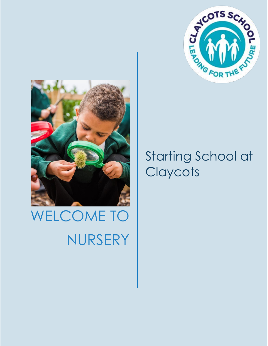

# WELCOME TO NURSERY



# Starting School at **Claycots**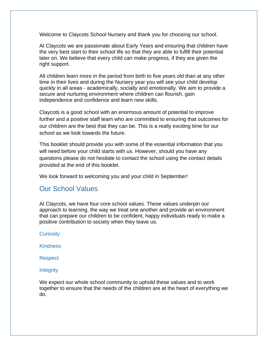Welcome to Claycots School Nursery and thank you for choosing our school.

At Claycots we are passionate about Early Years and ensuring that children have the very best start to their school life so that they are able to fulfill their potential later on. We believe that every child can make progress, if they are given the right support.

All children learn more in the period from birth to five years old than at any other time in their lives and during the Nursery year you will see your child develop quickly in all areas - academically, socially and emotionally. We aim to provide a secure and nurturing environment where children can flourish, gain independence and confidence and learn new skills.

Claycots is a good school with an enormous amount of potential to improve further and a positive staff team who are committed to ensuring that outcomes for our children are the best that they can be. This is a really exciting time for our school as we look towards the future.

This booklet should provide you with some of the essential information that you will need before your child starts with us. However, should you have any questions please do not hesitate to contact the school using the contact details provided at the end of this booklet.

We look forward to welcoming you and your child in September!

# Our School Values

At Claycots, we have four core school values. These values underpin our approach to learning, the way we treat one another and provide an environment that can prepare our children to be confident, happy individuals ready to make a positive contribution to society when they leave us.

**Curiosity** 

**Kindness** 

Respect

#### **Integrity**

We expect our whole school community to uphold these values and to work together to ensure that the needs of the children are at the heart of everything we do.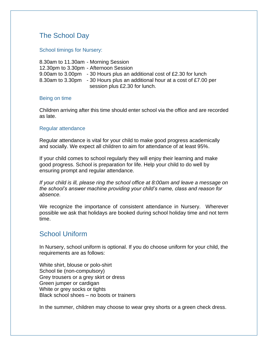# The School Day

School timings for Nursery:

8.30am to 11.30am - Morning Session 12.30pm to 3.30pm - Afternoon Session 9.00am to 3.00pm - 30 Hours plus an additional cost of £2.30 for lunch 8.30am to 3.30pm - 30 Hours plus an additional hour at a cost of £7.00 per session plus £2.30 for lunch.

#### Being on time

Children arriving after this time should enter school via the office and are recorded as late.

#### Regular attendance

Regular attendance is vital for your child to make good progress academically and socially. We expect all children to aim for attendance of at least 95%.

If your child comes to school regularly they will enjoy their learning and make good progress. School is preparation for life. Help your child to do well by ensuring prompt and regular attendance.

*If your child is ill, please ring the school office at 8:00am and leave a message on the school's answer machine providing your child's name, class and reason for absence.*

We recognize the importance of consistent attendance in Nursery. Wherever possible we ask that holidays are booked during school holiday time and not term time.

## School Uniform

In Nursery, school uniform is optional. If you do choose uniform for your child, the requirements are as follows:

White shirt, blouse or polo-shirt School tie (non-compulsory) Grey trousers or a grey skirt or dress Green jumper or cardigan White or grey socks or tights Black school shoes – no boots or trainers

In the summer, children may choose to wear grey shorts or a green check dress.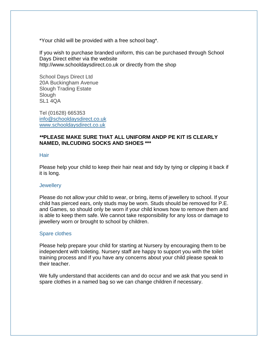\*Your child will be provided with a free school bag\*.

If you wish to purchase branded uniform, this can be purchased through School Days Direct either via the website http://www.schooldaysdirect.co.uk or directly from the shop

School Days Direct Ltd 20A Buckingham Avenue Slough Trading Estate Slough SL<sub>1</sub> 4QA

Tel (01628) 665353 [info@schooldaysdirect.co.uk](mailto:info@schooldaysdirect.co.uk) [www.schooldaysdirect.co.uk](http://www.schooldaysdirect.co.uk/)

#### *\*\****PLEASE MAKE SURE THAT ALL UNIFORM ANDP PE KIT IS CLEARLY NAMED, INLCUDING SOCKS AND SHOES \*\*\***

#### **Hair**

Please help your child to keep their hair neat and tidy by tying or clipping it back if it is long.

#### **Jewellery**

Please do not allow your child to wear, or bring, items of jewellery to school. If your child has pierced ears, only studs may be worn. Studs should be removed for P.E. and Games, so should only be worn if your child knows how to remove them and is able to keep them safe. We cannot take responsibility for any loss or damage to jewellery worn or brought to school by children.

#### Spare clothes

Please help prepare your child for starting at Nursery by encouraging them to be independent with toileting. Nursery staff are happy to support you with the toilet training process and If you have any concerns about your child please speak to their teacher.

We fully understand that accidents can and do occur and we ask that you send in spare clothes in a named bag so we can change children if necessary.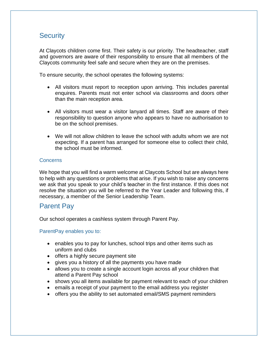# **Security**

At Claycots children come first. Their safety is our priority. The headteacher, staff and governors are aware of their responsibility to ensure that all members of the Claycots community feel safe and secure when they are on the premises.

To ensure security, the school operates the following systems:

- All visitors must report to reception upon arriving. This includes parental enquires. Parents must not enter school via classrooms and doors other than the main reception area.
- All visitors must wear a visitor lanyard all times. Staff are aware of their responsibility to question anyone who appears to have no authorisation to be on the school premises.
- We will not allow children to leave the school with adults whom we are not expecting. If a parent has arranged for someone else to collect their child, the school must be informed.

#### **Concerns**

We hope that you will find a warm welcome at Claycots School but are always here to help with any questions or problems that arise. If you wish to raise any concerns we ask that you speak to your child's teacher in the first instance. If this does not resolve the situation you will be referred to the Year Leader and following this, if necessary, a member of the Senior Leadership Team.

## Parent Pay

Our school operates a cashless system through Parent Pay.

#### ParentPay enables you to:

- enables you to pay for lunches, school trips and other items such as uniform and clubs
- offers a highly secure payment site
- gives you a history of all the payments you have made
- allows you to create a single account login across all your children that attend a Parent Pay school
- shows you all items available for payment relevant to each of your children
- emails a receipt of your payment to the email address you register
- offers you the ability to set automated email/SMS payment reminders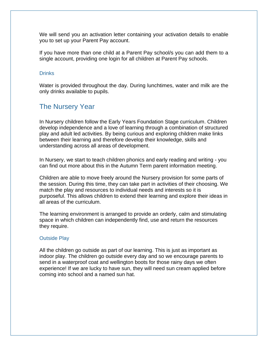We will send you an activation letter containing your activation details to enable you to set up your Parent Pay account.

If you have more than one child at a Parent Pay school/s you can add them to a single account, providing one login for all children at Parent Pay schools.

#### **Drinks**

Water is provided throughout the day. During lunchtimes, water and milk are the only drinks available to pupils.

# The Nursery Year

In Nursery children follow the Early Years Foundation Stage curriculum. Children develop independence and a love of learning through a combination of structured play and adult led activities. By being curious and exploring children make links between their learning and therefore develop their knowledge, skills and understanding across all areas of development.

In Nursery, we start to teach children phonics and early reading and writing - you can find out more about this in the Autumn Term parent information meeting.

Children are able to move freely around the Nursery provision for some parts of the session. During this time, they can take part in activities of their choosing. We match the play and resources to individual needs and interests so it is purposeful. This allows children to extend their learning and explore their ideas in all areas of the curriculum.

The learning environment is arranged to provide an orderly, calm and stimulating space in which children can independently find, use and return the resources they require.

#### Outside Play

All the children go outside as part of our learning. This is just as important as indoor play. The children go outside every day and so we encourage parents to send in a waterproof coat and wellington boots for those rainy days we often experience! If we are lucky to have sun, they will need sun cream applied before coming into school and a named sun hat.